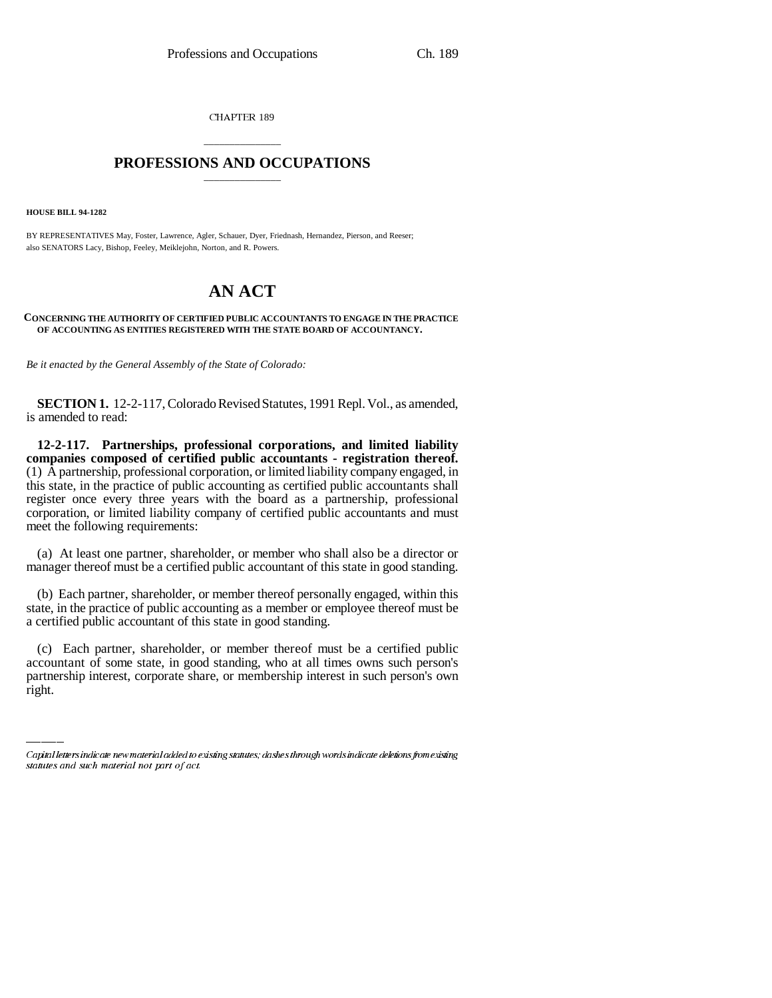CHAPTER 189

## \_\_\_\_\_\_\_\_\_\_\_\_\_\_\_ **PROFESSIONS AND OCCUPATIONS** \_\_\_\_\_\_\_\_\_\_\_\_\_\_\_

**HOUSE BILL 94-1282**

BY REPRESENTATIVES May, Foster, Lawrence, Agler, Schauer, Dyer, Friednash, Hernandez, Pierson, and Reeser; also SENATORS Lacy, Bishop, Feeley, Meiklejohn, Norton, and R. Powers.

# **AN ACT**

#### **CONCERNING THE AUTHORITY OF CERTIFIED PUBLIC ACCOUNTANTS TO ENGAGE IN THE PRACTICE OF ACCOUNTING AS ENTITIES REGISTERED WITH THE STATE BOARD OF ACCOUNTANCY.**

*Be it enacted by the General Assembly of the State of Colorado:*

**SECTION 1.** 12-2-117, Colorado Revised Statutes, 1991 Repl. Vol., as amended, is amended to read:

**12-2-117. Partnerships, professional corporations, and limited liability companies composed of certified public accountants - registration thereof.** (1) A partnership, professional corporation, or limited liability company engaged, in this state, in the practice of public accounting as certified public accountants shall register once every three years with the board as a partnership, professional corporation, or limited liability company of certified public accountants and must meet the following requirements:

(a) At least one partner, shareholder, or member who shall also be a director or manager thereof must be a certified public accountant of this state in good standing.

(b) Each partner, shareholder, or member thereof personally engaged, within this state, in the practice of public accounting as a member or employee thereof must be a certified public accountant of this state in good standing.

(c) Each partner, shareholder, or member thereof must be a certified public accountant of some state, in good standing, who at all times owns such person's partnership interest, corporate share, or membership interest in such person's own right.

Capital letters indicate new material added to existing statutes; dashes through words indicate deletions from existing statutes and such material not part of act.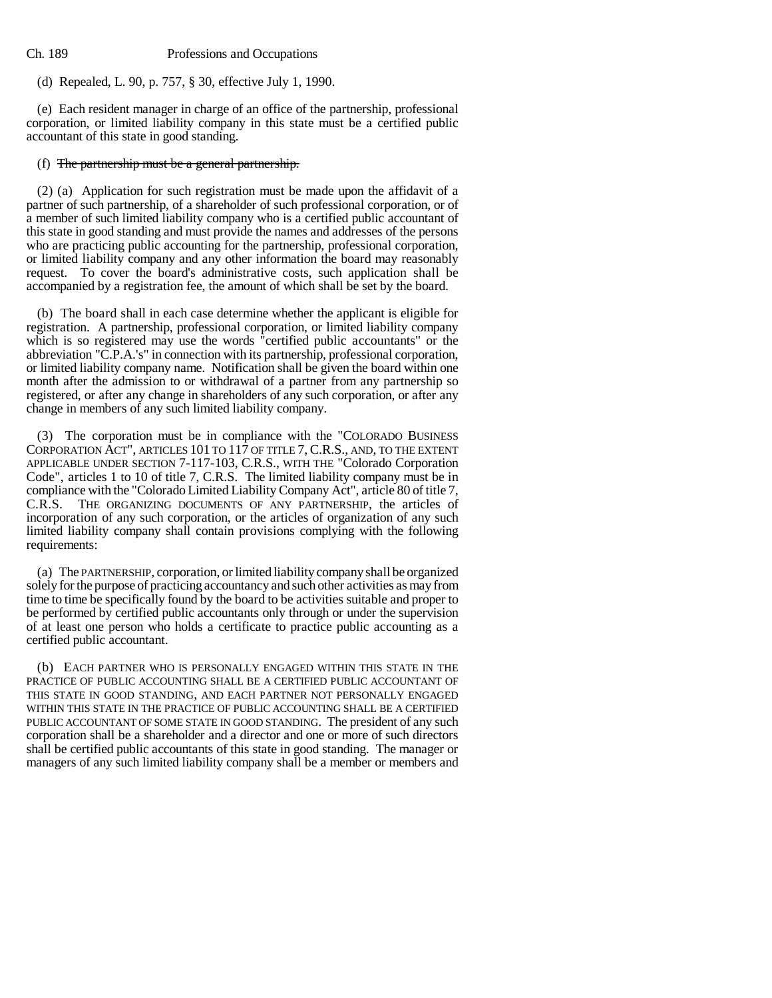Ch. 189 Professions and Occupations

(d) Repealed, L. 90, p. 757, § 30, effective July 1, 1990.

(e) Each resident manager in charge of an office of the partnership, professional corporation, or limited liability company in this state must be a certified public accountant of this state in good standing.

### (f) The partnership must be a general partnership.

(2) (a) Application for such registration must be made upon the affidavit of a partner of such partnership, of a shareholder of such professional corporation, or of a member of such limited liability company who is a certified public accountant of this state in good standing and must provide the names and addresses of the persons who are practicing public accounting for the partnership, professional corporation, or limited liability company and any other information the board may reasonably request. To cover the board's administrative costs, such application shall be accompanied by a registration fee, the amount of which shall be set by the board.

(b) The board shall in each case determine whether the applicant is eligible for registration. A partnership, professional corporation, or limited liability company which is so registered may use the words "certified public accountants" or the abbreviation "C.P.A.'s" in connection with its partnership, professional corporation, or limited liability company name. Notification shall be given the board within one month after the admission to or withdrawal of a partner from any partnership so registered, or after any change in shareholders of any such corporation, or after any change in members of any such limited liability company.

(3) The corporation must be in compliance with the "COLORADO BUSINESS CORPORATION ACT", ARTICLES 101 TO 117 OF TITLE 7, C.R.S., AND, TO THE EXTENT APPLICABLE UNDER SECTION 7-117-103, C.R.S., WITH THE "Colorado Corporation Code", articles 1 to 10 of title 7, C.R.S. The limited liability company must be in compliance with the "Colorado Limited Liability Company Act", article 80 of title 7, C.R.S. THE ORGANIZING DOCUMENTS OF ANY PARTNERSHIP, the articles of incorporation of any such corporation, or the articles of organization of any such limited liability company shall contain provisions complying with the following requirements:

(a) The PARTNERSHIP, corporation, or limited liability company shall be organized solely for the purpose of practicing accountancy and such other activities as may from time to time be specifically found by the board to be activities suitable and proper to be performed by certified public accountants only through or under the supervision of at least one person who holds a certificate to practice public accounting as a certified public accountant.

(b) EACH PARTNER WHO IS PERSONALLY ENGAGED WITHIN THIS STATE IN THE PRACTICE OF PUBLIC ACCOUNTING SHALL BE A CERTIFIED PUBLIC ACCOUNTANT OF THIS STATE IN GOOD STANDING, AND EACH PARTNER NOT PERSONALLY ENGAGED WITHIN THIS STATE IN THE PRACTICE OF PUBLIC ACCOUNTING SHALL BE A CERTIFIED PUBLIC ACCOUNTANT OF SOME STATE IN GOOD STANDING. The president of any such corporation shall be a shareholder and a director and one or more of such directors shall be certified public accountants of this state in good standing. The manager or managers of any such limited liability company shall be a member or members and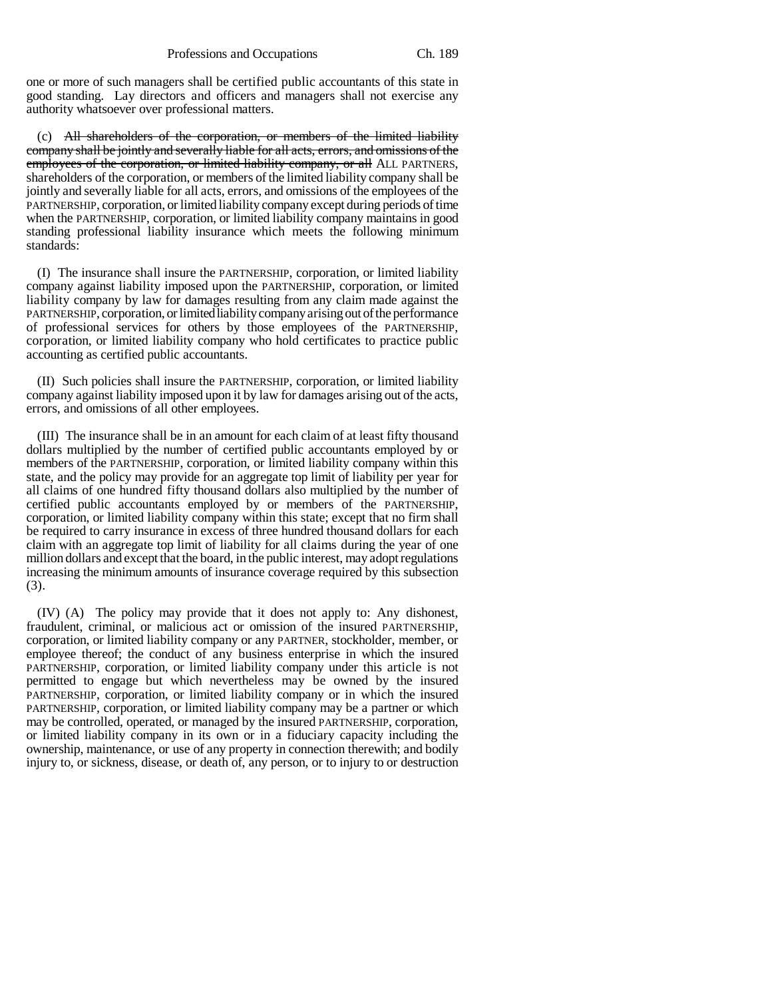one or more of such managers shall be certified public accountants of this state in good standing. Lay directors and officers and managers shall not exercise any authority whatsoever over professional matters.

(c) All shareholders of the corporation, or members of the limited liability company shall be jointly and severally liable for all acts, errors, and omissions of the employees of the corporation, or limited liability company, or all ALL PARTNERS, shareholders of the corporation, or members of the limited liability company shall be jointly and severally liable for all acts, errors, and omissions of the employees of the PARTNERSHIP, corporation, or limited liability company except during periods of time when the PARTNERSHIP, corporation, or limited liability company maintains in good standing professional liability insurance which meets the following minimum standards:

(I) The insurance shall insure the PARTNERSHIP, corporation, or limited liability company against liability imposed upon the PARTNERSHIP, corporation, or limited liability company by law for damages resulting from any claim made against the PARTNERSHIP, corporation, or limited liability company arising out of the performance of professional services for others by those employees of the PARTNERSHIP, corporation, or limited liability company who hold certificates to practice public accounting as certified public accountants.

(II) Such policies shall insure the PARTNERSHIP, corporation, or limited liability company against liability imposed upon it by law for damages arising out of the acts, errors, and omissions of all other employees.

(III) The insurance shall be in an amount for each claim of at least fifty thousand dollars multiplied by the number of certified public accountants employed by or members of the PARTNERSHIP, corporation, or limited liability company within this state, and the policy may provide for an aggregate top limit of liability per year for all claims of one hundred fifty thousand dollars also multiplied by the number of certified public accountants employed by or members of the PARTNERSHIP, corporation, or limited liability company within this state; except that no firm shall be required to carry insurance in excess of three hundred thousand dollars for each claim with an aggregate top limit of liability for all claims during the year of one million dollars and except that the board, in the public interest, may adopt regulations increasing the minimum amounts of insurance coverage required by this subsection (3).

(IV) (A) The policy may provide that it does not apply to: Any dishonest, fraudulent, criminal, or malicious act or omission of the insured PARTNERSHIP, corporation, or limited liability company or any PARTNER, stockholder, member, or employee thereof; the conduct of any business enterprise in which the insured PARTNERSHIP, corporation, or limited liability company under this article is not permitted to engage but which nevertheless may be owned by the insured PARTNERSHIP, corporation, or limited liability company or in which the insured PARTNERSHIP, corporation, or limited liability company may be a partner or which may be controlled, operated, or managed by the insured PARTNERSHIP, corporation, or limited liability company in its own or in a fiduciary capacity including the ownership, maintenance, or use of any property in connection therewith; and bodily injury to, or sickness, disease, or death of, any person, or to injury to or destruction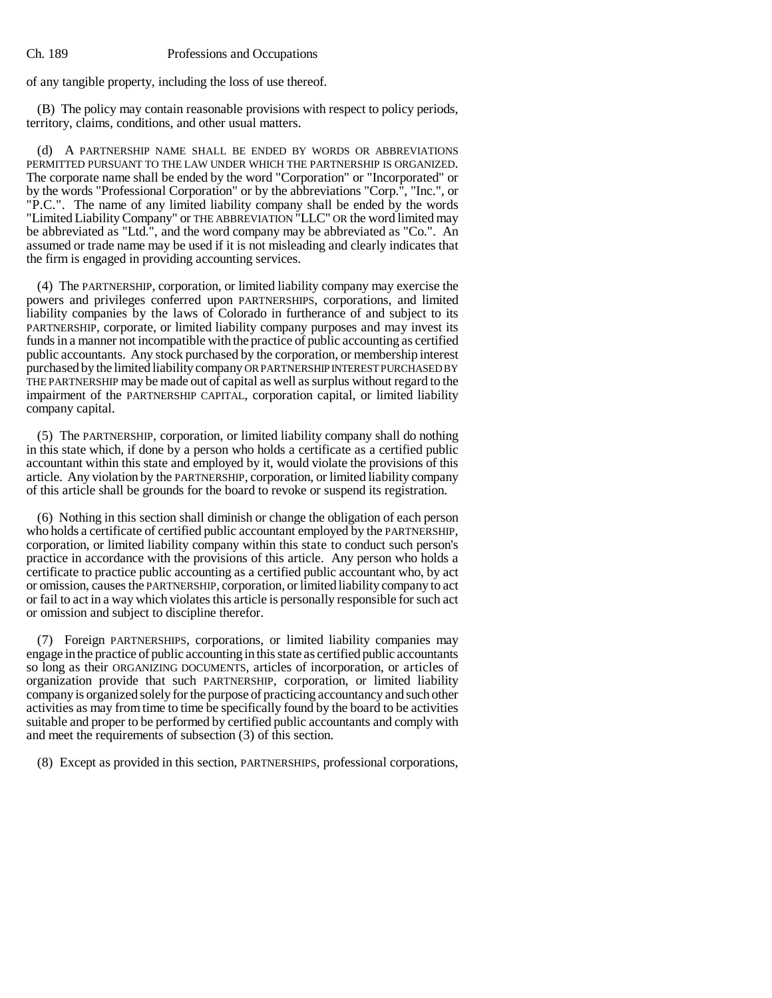#### Ch. 189 Professions and Occupations

of any tangible property, including the loss of use thereof.

(B) The policy may contain reasonable provisions with respect to policy periods, territory, claims, conditions, and other usual matters.

(d) A PARTNERSHIP NAME SHALL BE ENDED BY WORDS OR ABBREVIATIONS PERMITTED PURSUANT TO THE LAW UNDER WHICH THE PARTNERSHIP IS ORGANIZED. The corporate name shall be ended by the word "Corporation" or "Incorporated" or by the words "Professional Corporation" or by the abbreviations "Corp.", "Inc.", or "P.C.". The name of any limited liability company shall be ended by the words "Limited Liability Company" or THE ABBREVIATION "LLC" OR the word limited may be abbreviated as "Ltd.", and the word company may be abbreviated as "Co.". An assumed or trade name may be used if it is not misleading and clearly indicates that the firm is engaged in providing accounting services.

(4) The PARTNERSHIP, corporation, or limited liability company may exercise the powers and privileges conferred upon PARTNERSHIPS, corporations, and limited liability companies by the laws of Colorado in furtherance of and subject to its PARTNERSHIP, corporate, or limited liability company purposes and may invest its funds in a manner not incompatible with the practice of public accounting as certified public accountants. Any stock purchased by the corporation, or membership interest purchased by the limited liability company OR PARTNERSHIP INTEREST PURCHASED BY THE PARTNERSHIP may be made out of capital as well as surplus without regard to the impairment of the PARTNERSHIP CAPITAL, corporation capital, or limited liability company capital.

(5) The PARTNERSHIP, corporation, or limited liability company shall do nothing in this state which, if done by a person who holds a certificate as a certified public accountant within this state and employed by it, would violate the provisions of this article. Any violation by the PARTNERSHIP, corporation, or limited liability company of this article shall be grounds for the board to revoke or suspend its registration.

(6) Nothing in this section shall diminish or change the obligation of each person who holds a certificate of certified public accountant employed by the PARTNERSHIP, corporation, or limited liability company within this state to conduct such person's practice in accordance with the provisions of this article. Any person who holds a certificate to practice public accounting as a certified public accountant who, by act or omission, causes the PARTNERSHIP, corporation, or limited liability company to act or fail to act in a way which violates this article is personally responsible for such act or omission and subject to discipline therefor.

(7) Foreign PARTNERSHIPS, corporations, or limited liability companies may engage in the practice of public accounting in this state as certified public accountants so long as their ORGANIZING DOCUMENTS, articles of incorporation, or articles of organization provide that such PARTNERSHIP, corporation, or limited liability company is organized solely for the purpose of practicing accountancy and such other activities as may from time to time be specifically found by the board to be activities suitable and proper to be performed by certified public accountants and comply with and meet the requirements of subsection (3) of this section.

(8) Except as provided in this section, PARTNERSHIPS, professional corporations,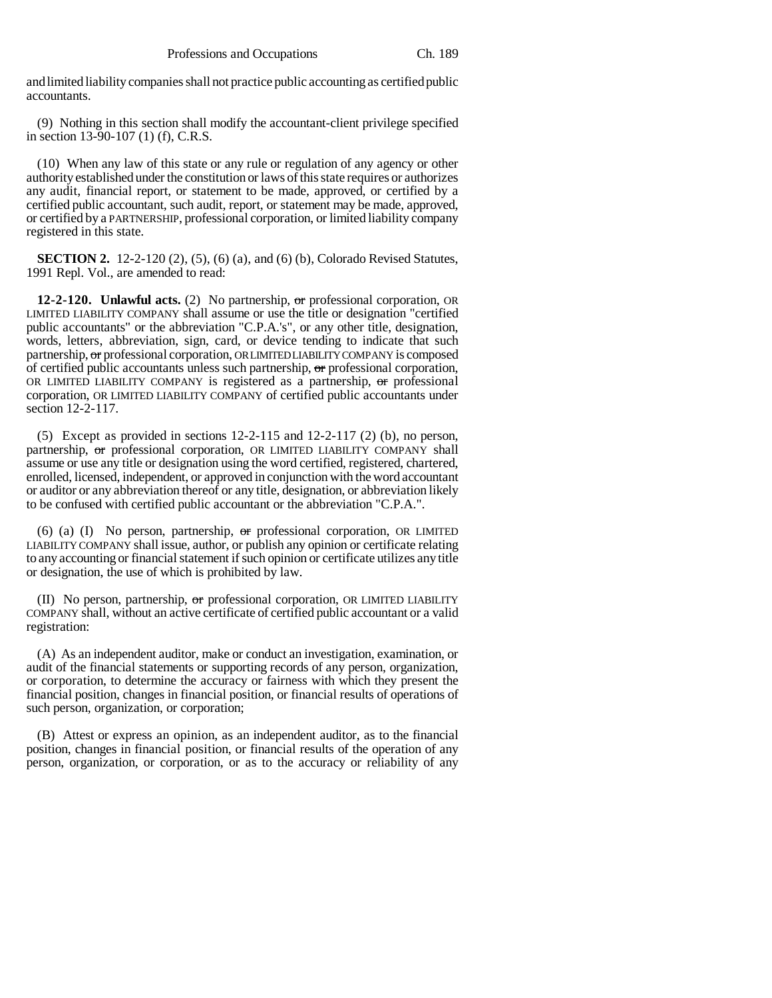and limited liability companies shall not practice public accounting as certified public accountants.

(9) Nothing in this section shall modify the accountant-client privilege specified in section 13-90-107 (1) (f), C.R.S.

(10) When any law of this state or any rule or regulation of any agency or other authority established under the constitution or laws of this state requires or authorizes any audit, financial report, or statement to be made, approved, or certified by a certified public accountant, such audit, report, or statement may be made, approved, or certified by a PARTNERSHIP, professional corporation, or limited liability company registered in this state.

**SECTION 2.** 12-2-120 (2), (5), (6) (a), and (6) (b), Colorado Revised Statutes, 1991 Repl. Vol., are amended to read:

**12-2-120. Unlawful acts.** (2) No partnership, or professional corporation, OR LIMITED LIABILITY COMPANY shall assume or use the title or designation "certified public accountants" or the abbreviation "C.P.A.'s", or any other title, designation, words, letters, abbreviation, sign, card, or device tending to indicate that such partnership, or professional corporation, OR LIMITED LIABILITY COMPANY is composed of certified public accountants unless such partnership,  $\sigma$ r professional corporation, OR LIMITED LIABILITY COMPANY is registered as a partnership,  $\sigma$ r professional corporation, OR LIMITED LIABILITY COMPANY of certified public accountants under section 12-2-117.

(5) Except as provided in sections 12-2-115 and 12-2-117 (2) (b), no person, partnership, or professional corporation, OR LIMITED LIABILITY COMPANY shall assume or use any title or designation using the word certified, registered, chartered, enrolled, licensed, independent, or approved in conjunction with the word accountant or auditor or any abbreviation thereof or any title, designation, or abbreviation likely to be confused with certified public accountant or the abbreviation "C.P.A.".

 $(6)$  (a) (I) No person, partnership,  $\sigma$ r professional corporation, OR LIMITED LIABILITY COMPANY shall issue, author, or publish any opinion or certificate relating to any accounting or financial statement if such opinion or certificate utilizes any title or designation, the use of which is prohibited by law.

(II) No person, partnership, or professional corporation, OR LIMITED LIABILITY COMPANY shall, without an active certificate of certified public accountant or a valid registration:

(A) As an independent auditor, make or conduct an investigation, examination, or audit of the financial statements or supporting records of any person, organization, or corporation, to determine the accuracy or fairness with which they present the financial position, changes in financial position, or financial results of operations of such person, organization, or corporation;

(B) Attest or express an opinion, as an independent auditor, as to the financial position, changes in financial position, or financial results of the operation of any person, organization, or corporation, or as to the accuracy or reliability of any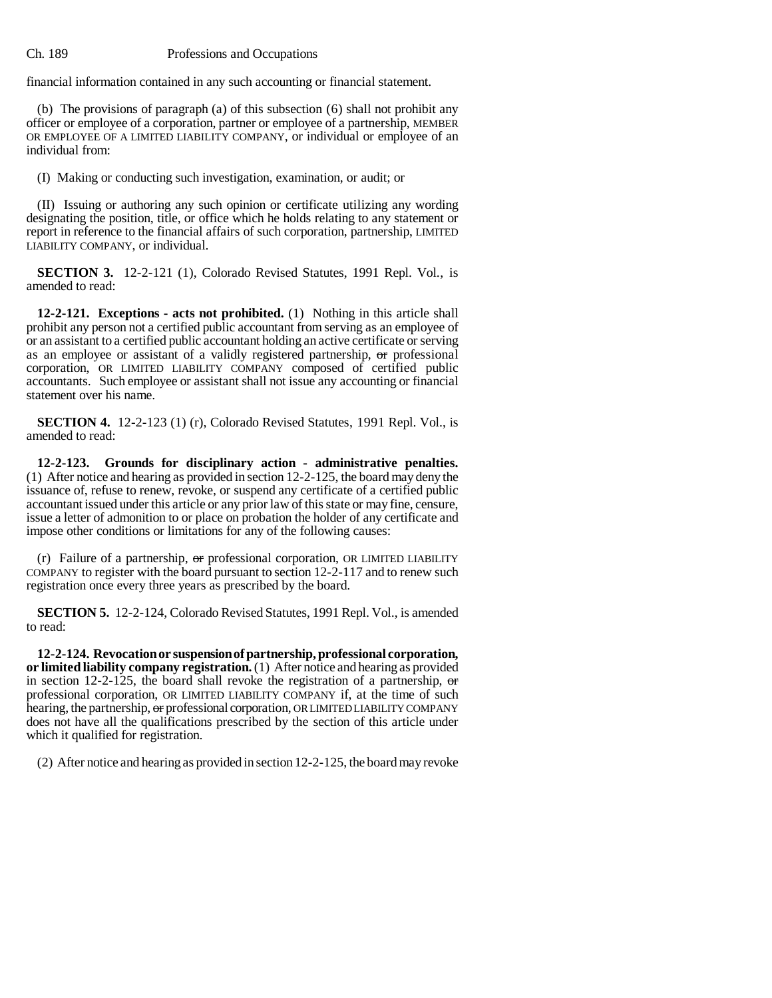financial information contained in any such accounting or financial statement.

(b) The provisions of paragraph (a) of this subsection (6) shall not prohibit any officer or employee of a corporation, partner or employee of a partnership, MEMBER OR EMPLOYEE OF A LIMITED LIABILITY COMPANY, or individual or employee of an individual from:

(I) Making or conducting such investigation, examination, or audit; or

(II) Issuing or authoring any such opinion or certificate utilizing any wording designating the position, title, or office which he holds relating to any statement or report in reference to the financial affairs of such corporation, partnership, LIMITED LIABILITY COMPANY, or individual.

**SECTION 3.** 12-2-121 (1), Colorado Revised Statutes, 1991 Repl. Vol., is amended to read:

**12-2-121. Exceptions - acts not prohibited.** (1) Nothing in this article shall prohibit any person not a certified public accountant from serving as an employee of or an assistant to a certified public accountant holding an active certificate or serving as an employee or assistant of a validly registered partnership, or professional corporation, OR LIMITED LIABILITY COMPANY composed of certified public accountants. Such employee or assistant shall not issue any accounting or financial statement over his name.

**SECTION 4.** 12-2-123 (1) (r), Colorado Revised Statutes, 1991 Repl. Vol., is amended to read:

**12-2-123. Grounds for disciplinary action - administrative penalties.** (1) After notice and hearing as provided in section 12-2-125, the board may deny the issuance of, refuse to renew, revoke, or suspend any certificate of a certified public accountant issued under this article or any prior law of this state or may fine, censure, issue a letter of admonition to or place on probation the holder of any certificate and impose other conditions or limitations for any of the following causes:

 $(r)$  Failure of a partnership,  $\sigma r$  professional corporation, OR LIMITED LIABILITY COMPANY to register with the board pursuant to section 12-2-117 and to renew such registration once every three years as prescribed by the board.

**SECTION 5.** 12-2-124, Colorado Revised Statutes, 1991 Repl. Vol., is amended to read:

**12-2-124. Revocation or suspension of partnership, professional corporation, or limited liability company registration.** (1) After notice and hearing as provided in section 12-2-125, the board shall revoke the registration of a partnership,  $\sigma$ professional corporation, OR LIMITED LIABILITY COMPANY if, at the time of such hearing, the partnership, or professional corporation, OR LIMITED LIABILITY COMPANY does not have all the qualifications prescribed by the section of this article under which it qualified for registration.

(2) After notice and hearing as provided in section 12-2-125, the board may revoke